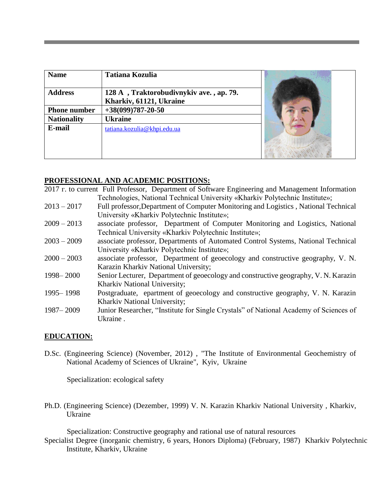| <b>Name</b>         | <b>Tatiana Kozulia</b>                                             |  |
|---------------------|--------------------------------------------------------------------|--|
| <b>Address</b>      | 128 A, Traktorobudivnykiv ave., ap. 79.<br>Kharkiv, 61121, Ukraine |  |
| <b>Phone number</b> | $+38(099)787 - 20 - 50$                                            |  |
| <b>Nationality</b>  | <b>Ukraine</b>                                                     |  |
| E-mail              | tatiana.kozulia@khpi.edu.ua                                        |  |

#### **PROFESSIONAL AND ACADEMIC POSITIONS:**

2017 г. to current Full Professor, Department of Software Engineering and Management Information Technologies, National Technical University «Kharkiv Polytechnic Institute»; 2013 – 2017 Full professor,Department of Computer Monitoring and Logistics , National Technical

- University «Kharkiv Polytechnic Institute»;
- 2009 2013 associate professor, Department of Computer Monitoring and Logistics, National Technical University «Kharkiv Polytechnic Institute»;
- 2003 2009 associate professor, Departments of Automated Control Systems, National Technical University «Kharkiv Polytechnic Institute»;
- 2000 2003 associate professor, Department of geoecology and constructive geography, V. N. Karazin Kharkiv National University;
- 1998– 2000 Senior Lecturer, Department of geoecology and constructive geography, V. N. Karazin Kharkiv National University;
- 1995– 1998 Postgraduate, epartment of geoecology and constructive geography, V. N. Karazin Kharkiv National University;
- 1987– 2009 Junior Researcher, "Institute for Single Crystals" of National Academy of Sciences of Ukraine .

#### **EDUCATION:**

D.Sc. (Engineering Science) (November, 2012) , "The Institute of Environmental Geochemistry of National Academy of Sciences of Ukraine", Kyiv, Ukraine

Specialization: ecological safety

Ph.D. (Engineering Science) (Dezember, 1999) V. N. Karazin Kharkiv National University , Kharkiv, Ukraine

Specialization: Constructive geography and rational use of natural resources

Specialist Degree (inorganic chemistry, 6 years, Honors Diploma) (February, 1987) Kharkiv Polytechnic Institute, Kharkiv, Ukraine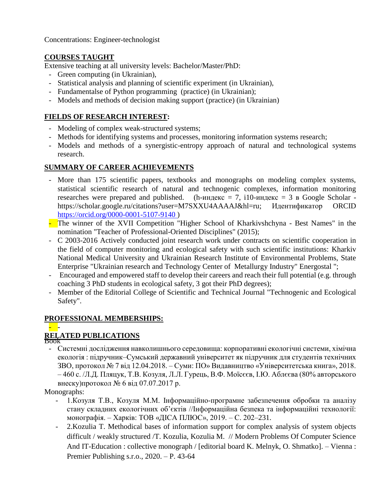Concentrations: Engineer-technologist

## **COURSES TAUGHT**

Extensive teaching at all university levels: Bachelor/Master/PhD:

- Green computing (in Ukrainian),
- Statistical analysis and planning of scientific experiment (in Ukrainian),
- Fundamentalse of Python programming (practice) (in Ukrainian);
- Models and methods of decision making support (practice) (in Ukrainian)

### **FIELDS OF RESEARCH INTEREST:**

- Modeling of complex weak-structured systems;
- Methods for identifying systems and processes, monitoring information systems research;
- Models and methods of a synergistic-entropy approach of natural and technological systems research.

# **SUMMARY OF CAREER ACHIEVEMENTS**

- More than 175 scientific papers, textbooks and monographs on modeling complex systems, statistical scientific research of natural and technogenic complexes, information monitoring researches were prepared and published. (h-индекс = 7, i10-индекс = 3 в Google Scholar https://scholar.google.ru/citations?user=M7SXXU4AAAAJ&hl=ru; Идентификатор ORCID [https://orcid.org/0000-0001-5107-9140 \)](https://orcid.org/0000-0001-5107-9140)
- The winner of the XVII Competition "Higher School of Kharkivshchyna Best Names" in the nomination "Teacher of Professional-Oriented Disciplines" (2015);
- C 2003-2016 Actively conducted joint research work under contracts on scientific cooperation in the field of computer monitoring and ecological safety with such scientific institutions: Kharkiv National Medical University and Ukrainian Research Institute of Environmental Problems, State Enterprise "Ukrainian research and Technology Center of Metallurgy Industry" Energostal ";
- Encouraged and empowered staff to develop their careers and reach their full potential (e.g. through coaching 3 PhD students in ecological safety, 3 got their PhD degrees);
- Member of the Editorial College of Scientific and Technical Journal "Technogenic and Ecological Safety".

## **PROFESSIONAL MEMBERSHIPS:**

# - **-**

**RELATED PUBLICATIONS** Book - Системні дослідження навколишнього середовища: корпоративні екологічні системи, хімічна екологія : підручник–Сумський державний університет як підручник для студентів технічних ЗВО, протокол № 7 від 12.04.2018. – Суми: ПО» Видавництво «Університетська книга», 2018. – 460 с. /Л.Д. Пляцук, Т.В. Козуля, Л.Л. Гурець, В.Ф. Моїсєєв, І.Ю. Аблєєва (80% авторського внеску)протокол № 6 від 07.07.2017 р.

Monographs:

- 1.Козуля Т.В., Козуля М.М. Інформаційно-програмне забезпечення обробки та аналізу стану складних екологічних об'єктів //Інформаційна безпека та інформаційні технології: монографія. – Харків: ТОВ «ДІСА ПЛЮС», 2019. – С. 202–231.
- 2.Kozulia T. Methodical bases of information support for complex analysis of system objects difficult / weakly structured /T. Kozulia, Kozulia M. // Modern Problems Of Computer Science And IT-Education : collective monograph / [editorial board K. Melnyk, O. Shmatko]. – Vienna : Premier Publishing s.r.o., 2020. – P. 43-64